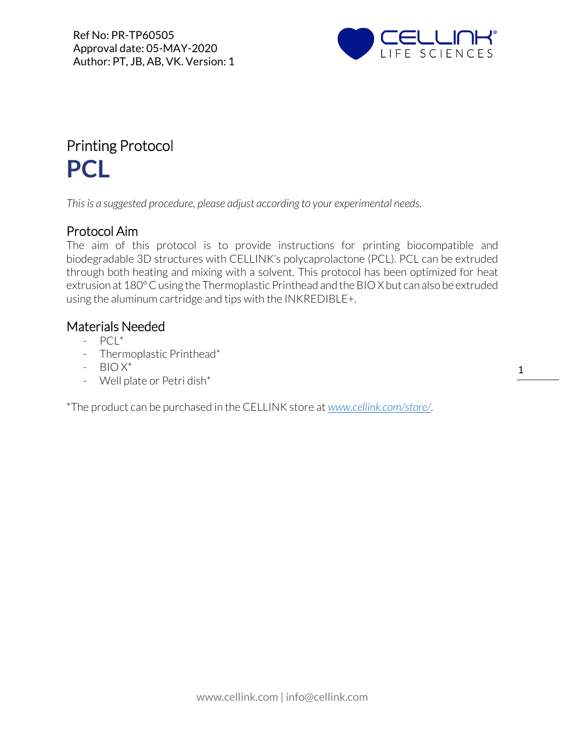

## Printing Protocol **PCL**

*This is a suggested procedure, please adjust according to your experimental needs.*

## Protocol Aim

The aim of this protocol is to provide instructions for printing biocompatible and biodegradable 3D structures with CELLINK's polycaprolactone (PCL). PCL can be extruded through both heating and mixing with a solvent. This protocol has been optimized for heat extrusion at 180° C using the Thermoplastic Printhead and the BIO X but can also be extruded using the aluminum cartridge and tips with the INKREDIBLE+.

## Materials Needed

- $-$  PCL<sup>\*</sup>
- Thermoplastic Printhead\*
- $-$  BIO  $X^*$
- Well plate or Petri dish\*

\*The product can be purchased in the CELLINK store at *[www.cellink.com/store/](http://www.cellink.com/store/)*.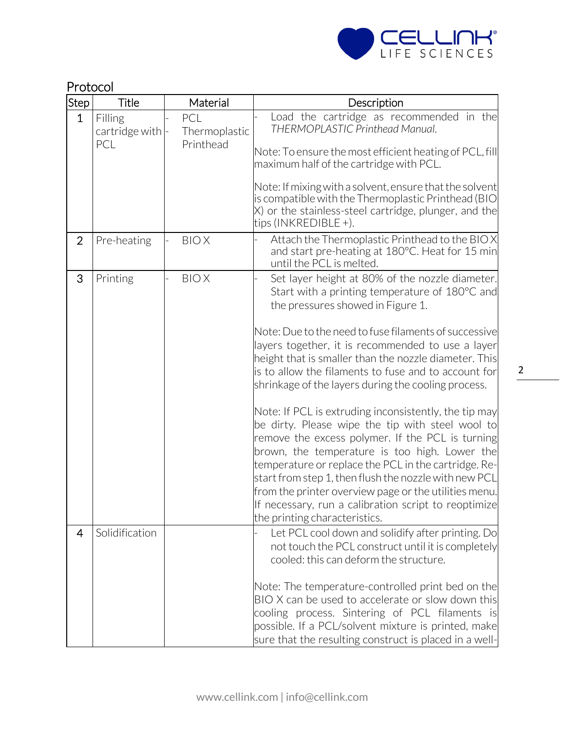

|                | Protocol                         |                                   |                                                                                                                                                                                                                                                                                                                                                                                                                                                                                                                                                                                                                                                                                                                                                                                                                                                                                                                   |  |
|----------------|----------------------------------|-----------------------------------|-------------------------------------------------------------------------------------------------------------------------------------------------------------------------------------------------------------------------------------------------------------------------------------------------------------------------------------------------------------------------------------------------------------------------------------------------------------------------------------------------------------------------------------------------------------------------------------------------------------------------------------------------------------------------------------------------------------------------------------------------------------------------------------------------------------------------------------------------------------------------------------------------------------------|--|
| Step           | <b>Title</b>                     | Material                          | Description                                                                                                                                                                                                                                                                                                                                                                                                                                                                                                                                                                                                                                                                                                                                                                                                                                                                                                       |  |
| $\mathbf{1}$   | Filling<br>cartridge with<br>PCL | PCL<br>Thermoplastic<br>Printhead | Load the cartridge as recommended in the<br>THERMOPLASTIC Printhead Manual.<br>Note: To ensure the most efficient heating of PCL, fill<br>maximum half of the cartridge with PCL.<br>Note: If mixing with a solvent, ensure that the solvent<br>is compatible with the Thermoplastic Printhead (BIO<br>X) or the stainless-steel cartridge, plunger, and the<br>tips (INKREDIBLE +).                                                                                                                                                                                                                                                                                                                                                                                                                                                                                                                              |  |
| $\overline{2}$ | Pre-heating                      | <b>BIOX</b>                       | Attach the Thermoplastic Printhead to the BIOX<br>and start pre-heating at 180°C. Heat for 15 min<br>until the PCL is melted.                                                                                                                                                                                                                                                                                                                                                                                                                                                                                                                                                                                                                                                                                                                                                                                     |  |
| 3              | Printing                         | <b>BIOX</b>                       | Set layer height at 80% of the nozzle diameter.<br>Start with a printing temperature of 180°C and<br>the pressures showed in Figure 1.<br>Note: Due to the need to fuse filaments of successive<br>layers together, it is recommended to use a layer<br>height that is smaller than the nozzle diameter. This<br>is to allow the filaments to fuse and to account for<br>shrinkage of the layers during the cooling process.<br>Note: If PCL is extruding inconsistently, the tip may<br>be dirty. Please wipe the tip with steel wool to<br>remove the excess polymer. If the PCL is turning<br>brown, the temperature is too high. Lower the<br>temperature or replace the PCL in the cartridge. Re-<br>start from step 1, then flush the nozzle with new PCL<br>from the printer overview page or the utilities menu.<br>If necessary, run a calibration script to reoptimize<br>the printing characteristics. |  |
| $\overline{4}$ | Solidification                   |                                   | Let PCL cool down and solidify after printing. Do<br>not touch the PCL construct until it is completely<br>cooled: this can deform the structure.<br>Note: The temperature-controlled print bed on the<br>BIO X can be used to accelerate or slow down this<br>cooling process. Sintering of PCL filaments is<br>possible. If a PCL/solvent mixture is printed, make<br>sure that the resulting construct is placed in a well-                                                                                                                                                                                                                                                                                                                                                                                                                                                                                    |  |